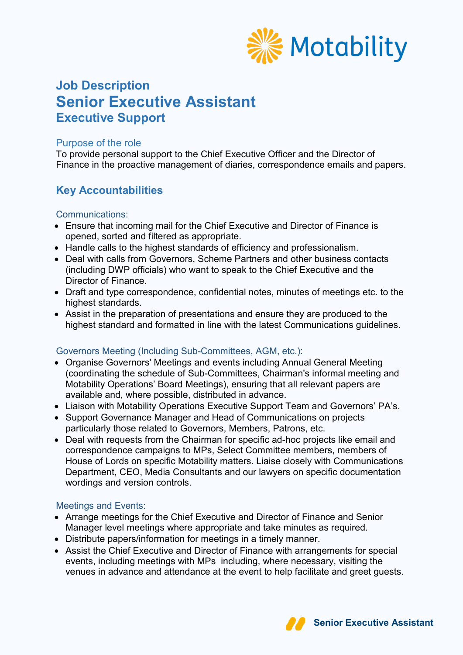

# **Job Description Senior Executive Assistant Executive Support**

### Purpose of the role

To provide personal support to the Chief Executive Officer and the Director of Finance in the proactive management of diaries, correspondence emails and papers.

# **Key Accountabilities**

### Communications:

- Ensure that incoming mail for the Chief Executive and Director of Finance is opened, sorted and filtered as appropriate.
- Handle calls to the highest standards of efficiency and professionalism.
- Deal with calls from Governors, Scheme Partners and other business contacts (including DWP officials) who want to speak to the Chief Executive and the Director of Finance.
- Draft and type correspondence, confidential notes, minutes of meetings etc. to the highest standards.
- Assist in the preparation of presentations and ensure they are produced to the highest standard and formatted in line with the latest Communications guidelines.

### Governors Meeting (Including Sub-Committees, AGM, etc.):

- Organise Governors' Meetings and events including Annual General Meeting (coordinating the schedule of Sub-Committees, Chairman's informal meeting and Motability Operations' Board Meetings), ensuring that all relevant papers are available and, where possible, distributed in advance.
- Liaison with Motability Operations Executive Support Team and Governors' PA's.
- Support Governance Manager and Head of Communications on projects particularly those related to Governors, Members, Patrons, etc.
- Deal with requests from the Chairman for specific ad-hoc projects like email and correspondence campaigns to MPs, Select Committee members, members of House of Lords on specific Motability matters. Liaise closely with Communications Department, CEO, Media Consultants and our lawyers on specific documentation wordings and version controls.

### Meetings and Events:

- Arrange meetings for the Chief Executive and Director of Finance and Senior Manager level meetings where appropriate and take minutes as required.
- Distribute papers/information for meetings in a timely manner.
- Assist the Chief Executive and Director of Finance with arrangements for special events, including meetings with MPs including, where necessary, visiting the venues in advance and attendance at the event to help facilitate and greet guests.

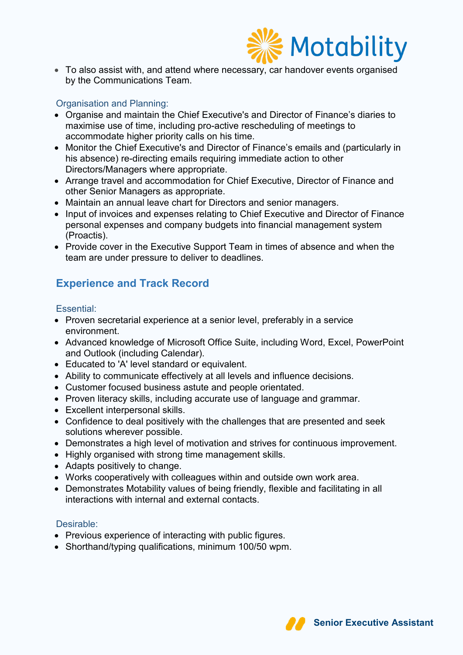

• To also assist with, and attend where necessary, car handover events organised by the Communications Team.

### Organisation and Planning:

- Organise and maintain the Chief Executive's and Director of Finance's diaries to maximise use of time, including pro-active rescheduling of meetings to accommodate higher priority calls on his time.
- Monitor the Chief Executive's and Director of Finance's emails and (particularly in his absence) re-directing emails requiring immediate action to other Directors/Managers where appropriate.
- Arrange travel and accommodation for Chief Executive, Director of Finance and other Senior Managers as appropriate.
- Maintain an annual leave chart for Directors and senior managers.
- Input of invoices and expenses relating to Chief Executive and Director of Finance personal expenses and company budgets into financial management system (Proactis).
- Provide cover in the Executive Support Team in times of absence and when the team are under pressure to deliver to deadlines.

## **Experience and Track Record**

### Essential:

- Proven secretarial experience at a senior level, preferably in a service environment.
- Advanced knowledge of Microsoft Office Suite, including Word, Excel, PowerPoint and Outlook (including Calendar).
- Educated to 'A' level standard or equivalent.
- Ability to communicate effectively at all levels and influence decisions.
- Customer focused business astute and people orientated.
- Proven literacy skills, including accurate use of language and grammar.
- Excellent interpersonal skills.
- Confidence to deal positively with the challenges that are presented and seek solutions wherever possible.
- Demonstrates a high level of motivation and strives for continuous improvement.
- Highly organised with strong time management skills.
- Adapts positively to change.
- Works cooperatively with colleagues within and outside own work area.
- Demonstrates Motability values of being friendly, flexible and facilitating in all interactions with internal and external contacts.

### Desirable:

- Previous experience of interacting with public figures.
- Shorthand/typing qualifications, minimum 100/50 wpm.